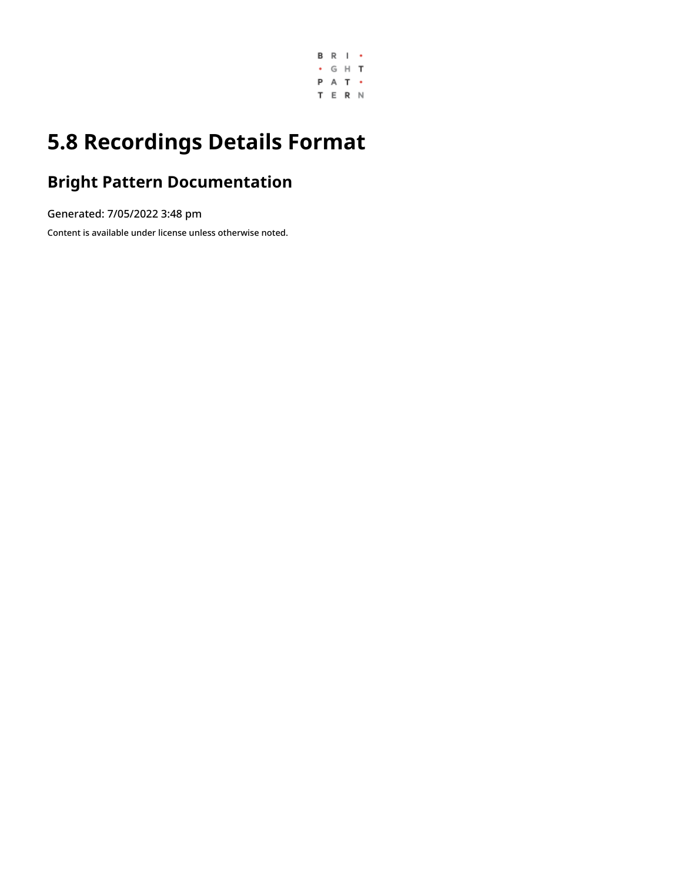

# **5.8 Recordings Details Format**

## **Bright Pattern Documentation**

Generated: 7/05/2022 3:48 pm

Content is available under license unless otherwise noted.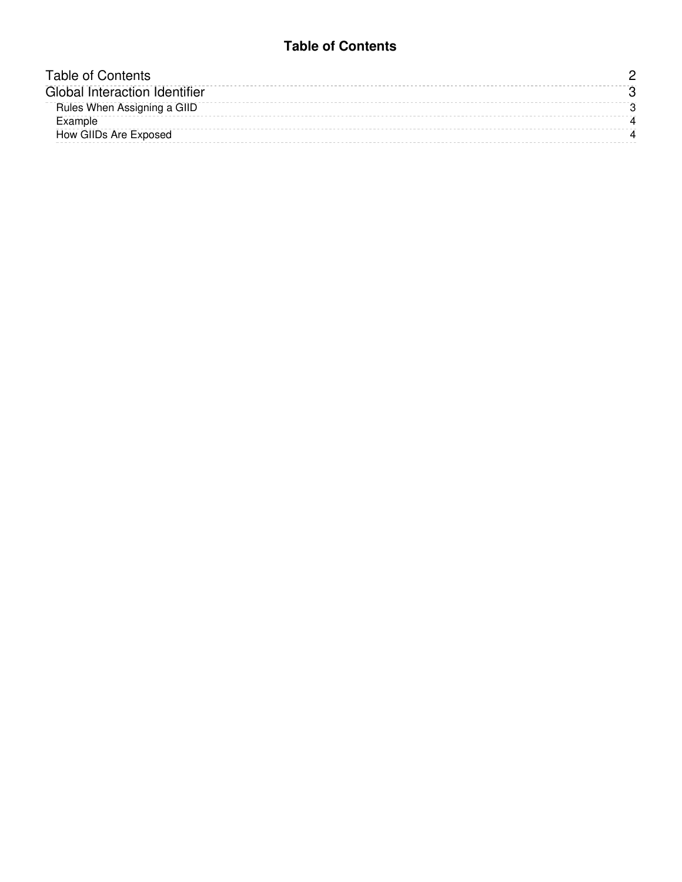#### **Table of Contents**

<span id="page-1-0"></span>

| Table of Contents                    |  |
|--------------------------------------|--|
| <b>Global Interaction Identifier</b> |  |
| Rules When Assigning a GIID          |  |
| Example                              |  |
| How GIIDs Are Exposed                |  |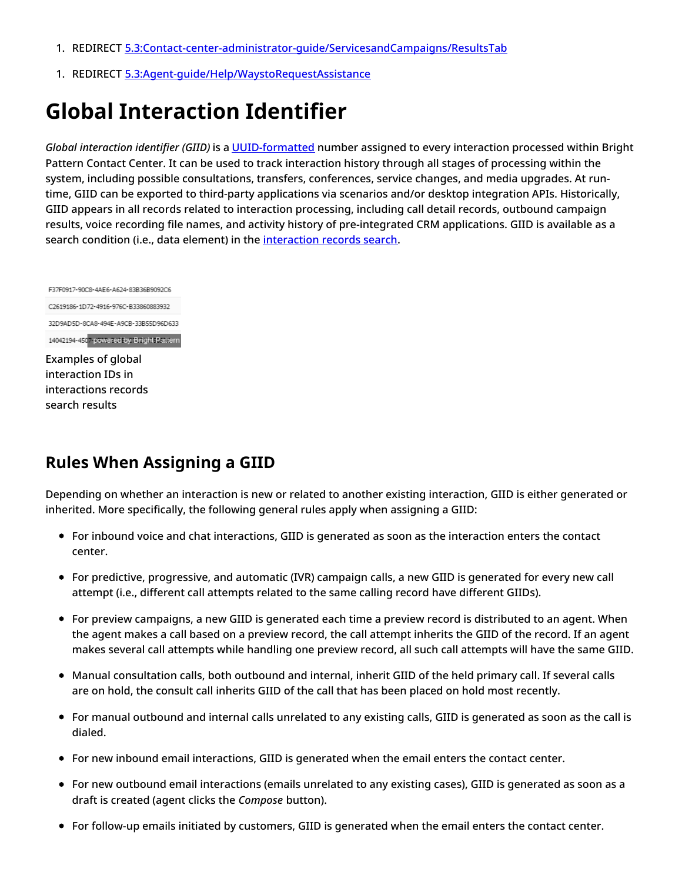- 1. REDIRECT [5.3:Contact-center-administrator-guide/ServicesandCampaigns/ResultsTab](https://help.brightpattern.com/5.3:Contact-center-administrator-guide/ServicesandCampaigns/ResultsTab)
- 1. REDIRECT [5.3:Agent-guide/Help/WaystoRequestAssistance](https://help.brightpattern.com/5.3:Agent-guide/Help/WaystoRequestAssistance)

# <span id="page-2-0"></span>**Global Interaction Identifier**

*Global interaction identifier (GIID)* is a [UUID-formatted](https://en.wikipedia.org/wiki/Universally_unique_identifier) number assigned to every interaction processed within Bright Pattern Contact Center. It can be used to track interaction history through all stages of processing within the system, including possible consultations, transfers, conferences, service changes, and media upgrades. At runtime, GIID can be exported to third-party applications via scenarios and/or desktop integration APIs. Historically, GIID appears in all records related to interaction processing, including call detail records, outbound campaign results, voice recording file names, and activity history of pre-integrated CRM applications. GIID is available as a search condition (i.e., data element) in the [interaction](https://help.brightpattern.com/5.8:Reporting-reference-guide/RecordingsDetailsFormat/?action=html-localimages-export#topic_reporting-reference-guide.2Finteractionrecordssearch) records search.

F37F0917-90C8-4AE6-A624-83B36B9092C6 C2619186-1D72-4916-976C-B33860883932 32D9AD5D-8CA8-494E-A9CB-33B55D96D633 14042194-4507-powered by Bright Pattern Examples of global interaction IDs in interactions records search results

### <span id="page-2-1"></span>**Rules When Assigning a GIID**

Depending on whether an interaction is new or related to another existing interaction, GIID is either generated or inherited. More specifically, the following general rules apply when assigning a GIID:

- For inbound voice and chat interactions, GIID is generated as soon as the interaction enters the contact center.
- For predictive, progressive, and automatic (IVR) campaign calls, a new GIID is generated for every new call attempt (i.e., different call attempts related to the same calling record have different GIIDs).
- For preview campaigns, a new GIID is generated each time a preview record is distributed to an agent. When the agent makes a call based on a preview record, the call attempt inherits the GIID of the record. If an agent makes several call attempts while handling one preview record, all such call attempts will have the same GIID.
- Manual consultation calls, both outbound and internal, inherit GIID of the held primary call. If several calls are on hold, the consult call inherits GIID of the call that has been placed on hold most recently.
- For manual outbound and internal calls unrelated to any existing calls, GIID is generated as soon as the call is dialed.
- For new inbound email interactions, GIID is generated when the email enters the contact center.
- For new outbound email interactions (emails unrelated to any existing cases), GIID is generated as soon as a draft is created (agent clicks the *Compose* button).
- For follow-up emails initiated by customers, GIID is generated when the email enters the contact center.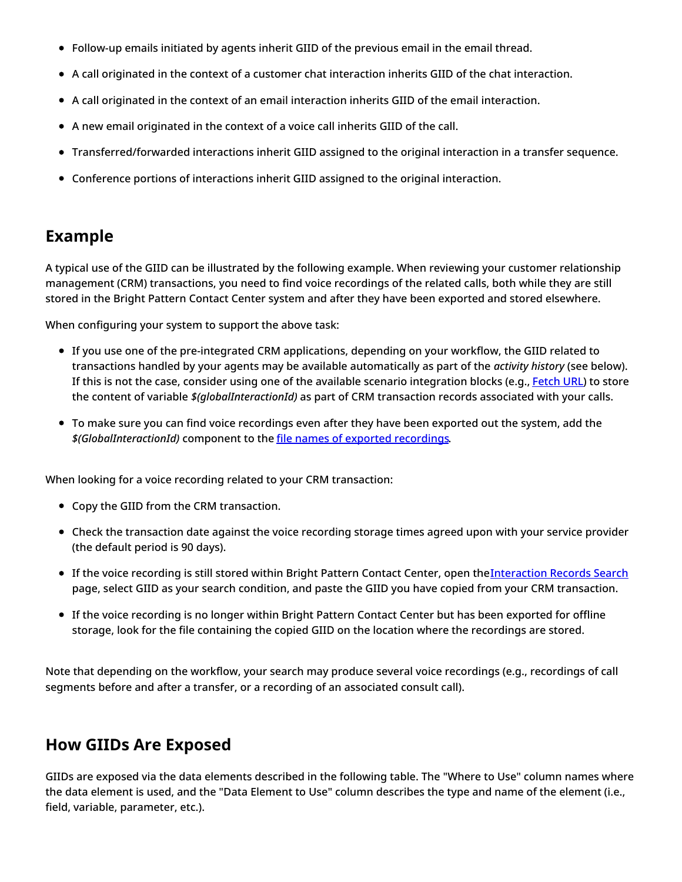- Follow-up emails initiated by agents inherit GIID of the previous email in the email thread.
- A call originated in the context of a customer chat interaction inherits GIID of the chat interaction.
- A call originated in the context of an email interaction inherits GIID of the email interaction.
- A new email originated in the context of a voice call inherits GIID of the call.
- Transferred/forwarded interactions inherit GIID assigned to the original interaction in a transfer sequence.
- Conference portions of interactions inherit GIID assigned to the original interaction.

### <span id="page-3-0"></span>**Example**

A typical use of the GIID can be illustrated by the following example. When reviewing your customer relationship management (CRM) transactions, you need to find voice recordings of the related calls, both while they are still stored in the Bright Pattern Contact Center system and after they have been exported and stored elsewhere.

When configuring your system to support the above task:

- If you use one of the pre-integrated CRM applications, depending on your workflow, the GIID related to transactions handled by your agents may be available automatically as part of the *activity history* (see below). If this is not the case, consider using one of the available scenario integration blocks (e.g., [Fetch](https://help.brightpattern.com/5.8:Reporting-reference-guide/RecordingsDetailsFormat/?action=html-localimages-export#topic_scenario-builder-reference-guide.2Ffetchurl) URL) to store the content of variable *\$(globalInteractionId)* as part of CRM transaction records associated with your calls.
- To make sure you can find voice recordings even after they have been exported out the system, add the *\$(GlobalInteractionId)* component to the file names of exported [recordings](https://help.brightpattern.com/5.8:Reporting-reference-guide/RecordingsDetailsFormat/?action=html-localimages-export#topic_contact-center-administrator-guide.2Fresultstab).

When looking for a voice recording related to your CRM transaction:

- Copy the GIID from the CRM transaction.
- Check the transaction date against the voice recording storage times agreed upon with your service provider (the default period is 90 days).
- If the voice recording is still stored within Bright Pattern Contact Center, open the [Interaction](https://help.brightpattern.com/5.8:Reporting-reference-guide/RecordingsDetailsFormat/?action=html-localimages-export#topic_reporting-reference-guide.2Finteractionrecordssearch) Records Search page, select GIID as your search condition, and paste the GIID you have copied from your CRM transaction.
- If the voice recording is no longer within Bright Pattern Contact Center but has been exported for offline storage, look for the file containing the copied GIID on the location where the recordings are stored.

Note that depending on the workflow, your search may produce several voice recordings (e.g., recordings of call segments before and after a transfer, or a recording of an associated consult call).

### <span id="page-3-1"></span>**How GIIDs Are Exposed**

GIIDs are exposed via the data elements described in the following table. The "Where to Use" column names where the data element is used, and the "Data Element to Use" column describes the type and name of the element (i.e., field, variable, parameter, etc.).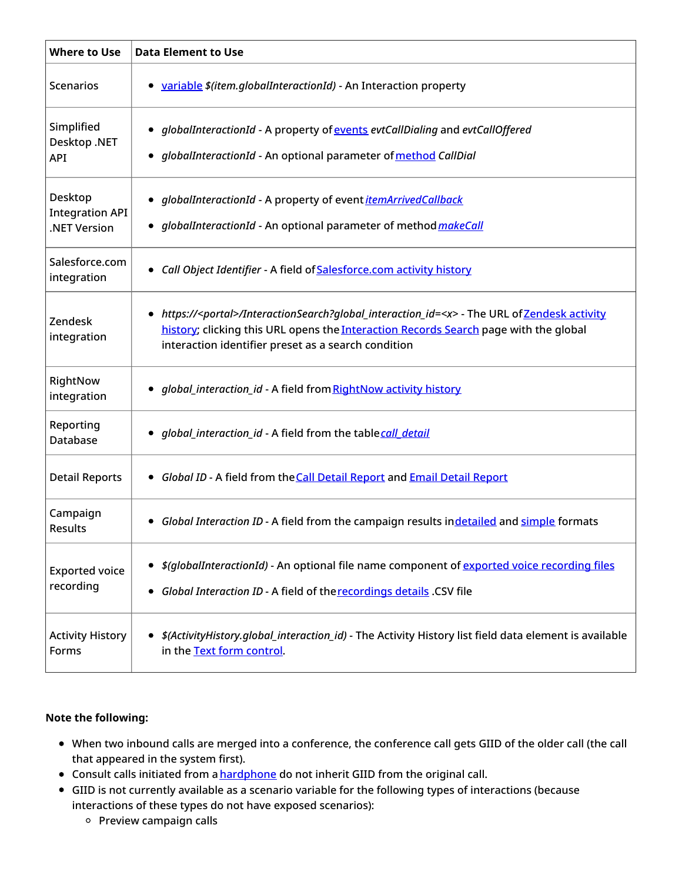| <b>Where to Use</b>                               | <b>Data Element to Use</b>                                                                                                                                                                                                                                      |
|---------------------------------------------------|-----------------------------------------------------------------------------------------------------------------------------------------------------------------------------------------------------------------------------------------------------------------|
| <b>Scenarios</b>                                  | • variable \$(item.globalInteractionId) - An Interaction property                                                                                                                                                                                               |
| Simplified<br>Desktop .NET<br>API                 | • globalInteractionId - A property of events evtCallDialing and evtCallOffered<br>globalInteractionId - An optional parameter of method CallDial                                                                                                                |
| Desktop<br><b>Integration API</b><br>.NET Version | globalInteractionId - A property of event <i>itemArrivedCallback</i><br>$\bullet$<br>globalInteractionId - An optional parameter of method <i>makeCall</i>                                                                                                      |
| Salesforce.com<br>integration                     | • Call Object Identifier - A field of Salesforce.com activity history                                                                                                                                                                                           |
| Zendesk<br>integration                            | https:// <portal>/InteractionSearch?qlobal_interaction_id=<x> - The URL of Zendesk activity<br/>٠<br/>history; clicking this URL opens the Interaction Records Search page with the global<br/>interaction identifier preset as a search condition</x></portal> |
| RightNow<br>integration                           | • global_interaction_id - A field from RightNow activity history                                                                                                                                                                                                |
| Reporting<br>Database                             | global_interaction_id - A field from the tablecall detail                                                                                                                                                                                                       |
| <b>Detail Reports</b>                             | Global ID - A field from the Call Detail Report and Email Detail Report<br>$\bullet$                                                                                                                                                                            |
| Campaign<br><b>Results</b>                        | Global Interaction ID - A field from the campaign results indetailed and simple formats                                                                                                                                                                         |
| <b>Exported voice</b><br>recording                | <i>\$(globalInteractionId)</i> - An optional file name component of <i>exported voice recording files</i><br>Global Interaction ID - A field of the recordings details .CSV file                                                                                |
| <b>Activity History</b><br>Forms                  | \$(ActivityHistory.global_interaction_id) - The Activity History list field data element is available<br>in the Text form control.                                                                                                                              |

#### **Note the following:**

- When two inbound calls are merged into a conference, the conference call gets GIID of the older call (the call that appeared in the system first).
- Consult calls initiated from a **[hardphone](https://help.brightpattern.com/5.8:Reporting-reference-guide/RecordingsDetailsFormat/?action=html-localimages-export#topic_contact-center-administrator-guide.2Fhardphones)** do not inherit GIID from the original call.
- GIID is not currently available as a scenario variable for the following types of interactions (because interactions of these types do not have exposed scenarios):
	- $\circ$  Preview campaign calls